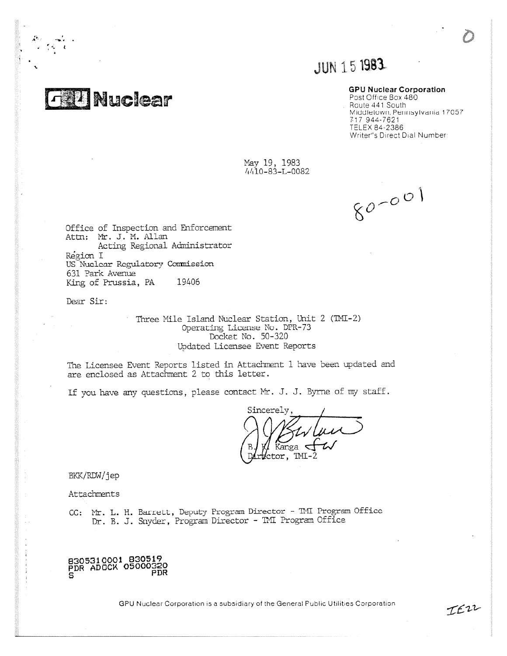**THANuclear** 

# JUN 15 1983

## GPU Nuclear Corporation

Post Office Box 480 . Route 441 South Middletown, Perinsylvania 17057 717 944-7621 TELEX 84-2386 Writer"s Direct Dial Number:

May 19, 1983 4/110-83-L-0082

 $80 - 001$ 

IEZZ

Office of Inspection and Enforcement Attn: Mt. J. M. Allan Acting Regional Administrator Region I US Nuclear Regulatory Commission 631 Park Avenup King of Prussia, PA 19406

Dear Sir:

Three Mile Island Nuclear Station, Unit 2 (IMI-2) Operating License No. DPR-73 Docket No. 50-320 Updated Licensee Event Reports

The Licensee Event Reports listed in Attachment 1 have been updated and are enclosed as Attachment 2 to this letter.

If you have any questions, please contact Mr. J. J. Byrne of my staff.

Sincerely Kanga  $\overline{\mathcal{A}}$  $ctor,$  TMI-2

BKK/RDW/jep

Attachments

CC: Mr. L. H. Barrett, Deputy Program Director - TMI Program Office Dr. B. J. Snyder, Program Director - TMI Program Office

8305310001 830519 PDR ADOCK 05000320<br>PDR

GPU Nuclear Corporation is a subsidiary of the General Public Utilities Corporation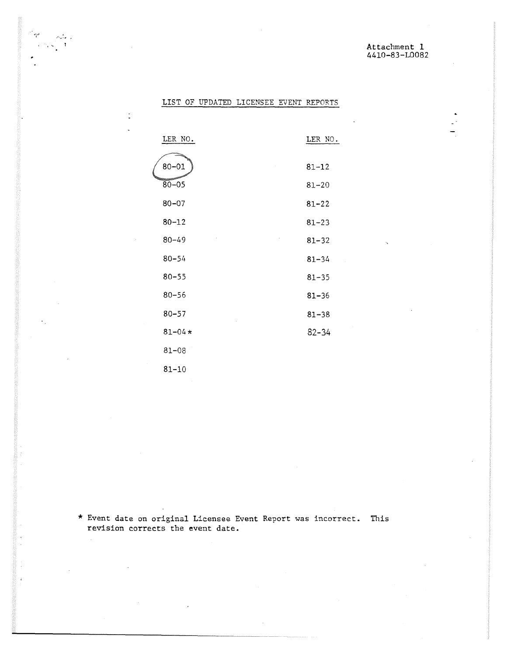$\mathbb{R}^2$ 

# LIST OF UPDATED LICENSEE EVENT REPORTS

 $\mathcal{D}_{\text{ref},\theta}$  .  $\gamma_{\rm c} \sqrt{\gamma_{\rm c}}$  .

 $\ddot{\cdot}$ 

 $\lambda$ 

é

| LER NO.    | LER NO.   |
|------------|-----------|
| $80 - 01$  | $81 - 12$ |
| $80 - 05$  | $81 - 20$ |
| $80 - 07$  | $81 - 22$ |
| $80 - 12$  | $81 - 23$ |
| $80 - 49$  | $81 - 32$ |
| $80 - 54$  | $81 - 34$ |
| $80 - 55$  | $81 - 35$ |
| $80 - 56$  | $81 - 36$ |
| $80 - 57$  | $81 - 38$ |
| $81 - 04*$ | $82 - 34$ |
| $81 - 08$  |           |
| $81 - 10$  |           |

\* Event date on original Licensee Event Report was incorrect. This revision corrects the event date.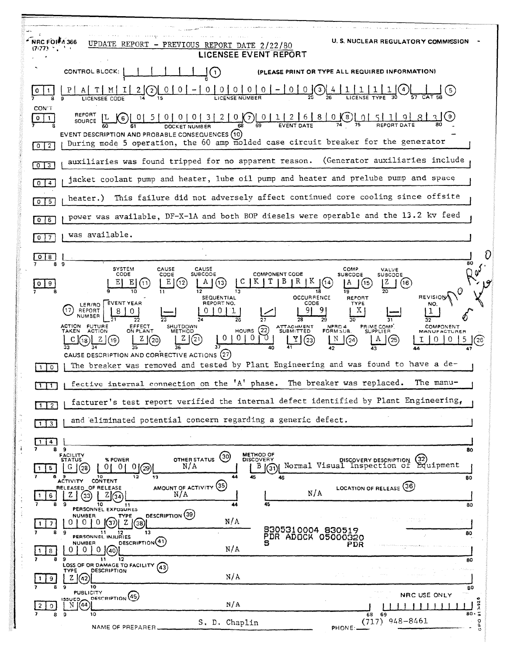| <b>U.S. NUCLEAR REGULATORY COMMISSION</b><br>UPDATE<br>REPORT<br>- PREVIOUS REPORT DATE 2/22/80<br>$(7:77)$<br>LICENSEE EVENT REPORT                                                                                                                                                                                                                                                                                                                           |  |
|----------------------------------------------------------------------------------------------------------------------------------------------------------------------------------------------------------------------------------------------------------------------------------------------------------------------------------------------------------------------------------------------------------------------------------------------------------------|--|
| CONTROL BLOCK:<br>(PLEASE PRINT OR TYPE ALL REQUIRED INFORMATION)<br>$\left(1\right)$                                                                                                                                                                                                                                                                                                                                                                          |  |
| 0 0 0 0 0 0 0 - 0 0 0 $\frac{3}{26}$ $\frac{4}{26}$ $\frac{1}{26}$ $\frac{1}{26}$ $\frac{1}{26}$ $\frac{1}{26}$ $\frac{1}{26}$ $\frac{1}{26}$ $\frac{1}{26}$ $\frac{1}{26}$ $\frac{1}{26}$ $\frac{1}{26}$ $\frac{1}{26}$ $\frac{1}{26}$ $\frac{1}{26}$ $\frac{1}{26}$ $\frac{1}{26}$ $\frac{1}{26}$<br>M<br>(5)<br>$\left( 2\right)$                                                                                                                           |  |
| <b>CON T</b><br>0<br>EVENT DESCRIPTION AND PROBABLE CONSEQUENCES (10)<br>During mode 5 operation, the 60 amp molded case circuit breaker for the generator<br>$\overline{2}$<br>$\mathbf{0}$                                                                                                                                                                                                                                                                   |  |
| auxiliaries was found tripped for no apparent reason. (Generator auxiliaries include<br>0 <sup>13</sup>                                                                                                                                                                                                                                                                                                                                                        |  |
| jacket coolant pump and heater, lube oil pump and heater and prelube pump and space<br>$\overline{4}$<br>$\mathbf{O}$                                                                                                                                                                                                                                                                                                                                          |  |
| This failure did not adversely affect continued core cooling since offsite<br>heater.)<br>$\sqrt{5}$<br>$\mathbf{O}$                                                                                                                                                                                                                                                                                                                                           |  |
| power was available, DF-X-1A and both BOP diesels were operable and the 13.2 kv feed<br>$0$ 6                                                                                                                                                                                                                                                                                                                                                                  |  |
| was available.                                                                                                                                                                                                                                                                                                                                                                                                                                                 |  |
| 8                                                                                                                                                                                                                                                                                                                                                                                                                                                              |  |
| 80<br><b>SYSTEM</b><br>CAUSE<br>CAUSE<br>COMP.<br>VALVE<br>CODE<br><b>SUBCODE</b><br><b>COMPONENT CODE</b><br>CODE<br><b>SUBCODE</b><br>SUBCODE<br>Е<br>Е<br>(16)<br>9<br><b>OCCURRENCE</b><br><b>REVISION</b><br>SEQUENTIAL<br>REPORT<br><b>EVENT YEAR</b><br>REPORT NO.<br>CODE<br><b>TYPE</b><br>LER/RO                                                                                                                                                     |  |
| REPORT<br>NUMBER<br><b>FUTURE</b><br>ACTION<br>EFFECT<br>ON PLANT<br>SHUTDOWN<br>ATTACHMENT<br>SUBMITTED<br>NPRD 4<br>PRIME COMP.<br>SUPPLIER<br><b>COMPONENT</b><br>HOURS $(22)$<br><b>TAKEN</b><br><b>ACTION</b><br>FORM SUB.<br><b>METHOD</b><br><b>MANUFACTURER</b><br>$\overline{0}$<br>0 <sub>1</sub><br>CAUSE DESCRIPTION AND CORRECTIVE ACTIONS (27)<br>The breaker was removed and tested by Plant Engineering and was found to have a de-<br>$\circ$ |  |
| fective internal connection on the 'A' phase. The breaker was replaced.<br>The manu-                                                                                                                                                                                                                                                                                                                                                                           |  |
| facturer's test report verified the internal defect identified by Plant Engineering,<br>$1 \mid 2$                                                                                                                                                                                                                                                                                                                                                             |  |
| and eliminated potential concern regarding a generic defect.<br>$\sqrt{3}$                                                                                                                                                                                                                                                                                                                                                                                     |  |
| 4.<br>8.<br>- 9<br>80                                                                                                                                                                                                                                                                                                                                                                                                                                          |  |
| <b>METHOD OF</b><br><b>FACILITY</b><br>STATUS<br>(30)<br>OTHER STATUS<br><b>DISCOVERY</b><br>% POWER<br>DISCOVERY DESCRIPTION<br>Equipment<br>N/A<br>Normal Visual Inspection of<br>B(3)<br>01.<br>0 L<br>0(29)<br>G(28)<br>5.<br>44<br>a<br>10<br>12<br>45<br>13<br>46<br>80<br><b>ACTIVITY</b><br><b>CONTENT</b>                                                                                                                                             |  |
| AMOUNT OF ACTIVITY (35)<br>LOCATION OF RELEASE (36)<br>RELEASED OF RELEASE<br>N/A<br>N/A<br>Z<br>6<br>33<br>34<br>45<br>9.<br>10<br>80<br>11<br>PERSONNEL EXPOSURES                                                                                                                                                                                                                                                                                            |  |
| DESCRIPTION (39)<br><b>NUMBER</b><br><b>TYPE</b><br>N/A<br>$\left( 3\right)$<br>$\Omega$<br>z<br>0<br>'38'<br>7<br>8305310004 830519<br>8<br>9<br>13<br>11 12<br>PERSONNEL INJURIES<br>80<br>PDR ADOCK 05000320<br>DESCRIPTION(41)<br>NUMBER<br>PDR                                                                                                                                                                                                            |  |
| N/A<br>0.<br>0<br>(40)<br>8<br>12<br>11<br>80<br>LOSS OF OR DAMAGE TO FACILITY (43)<br><b>DESCRIPTION</b><br><b>TYPE</b>                                                                                                                                                                                                                                                                                                                                       |  |
| N/A<br>Z 1(42)<br>9<br>10<br>9<br>80                                                                                                                                                                                                                                                                                                                                                                                                                           |  |
| <b>PUBLICITY</b><br>NRC USE ONLY<br>DESCRIPTION <sup>(45)</sup><br>133UED <b>_</b><br>$7 - 92$<br>N/A<br>$N$ $(44)$<br>2<br>$\circ$<br>80.5<br>9<br>10<br>8<br>68<br>69                                                                                                                                                                                                                                                                                        |  |
| $(717)$ 948-8461<br>$\circ$<br>S. D. Chaplin<br>σ<br>NAME OF PREPARER.<br>PHONE:                                                                                                                                                                                                                                                                                                                                                                               |  |

 $\mathfrak{f}$